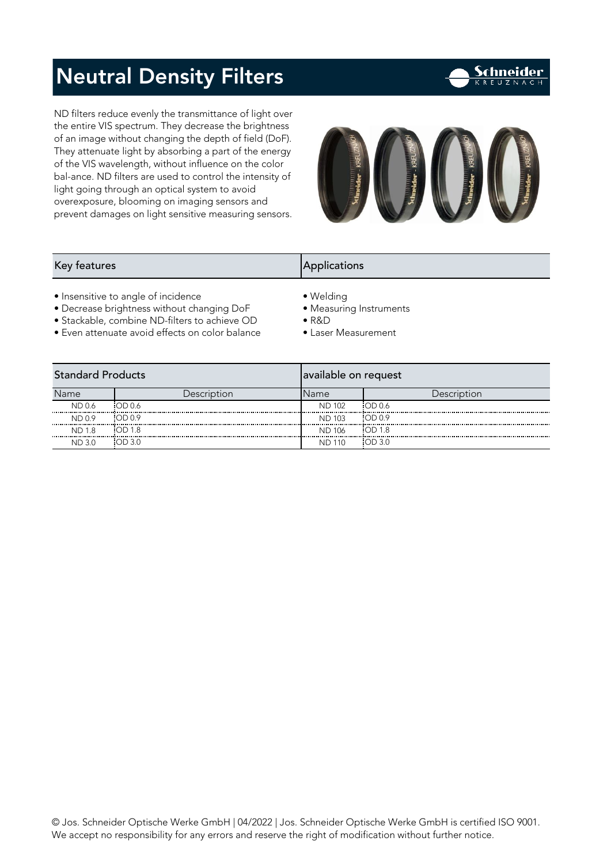### Neutral Density Filters

ND filters reduce evenly the transmittance of light over<br>the entire VIS spectrum. They decrease the brightness of an image without changing the depth of field (DoF). They attenuate light by absorbing a part of the energy of the VIS wavelength, without influence on the color bal-ance. ND filters are used to control the intensity of light going through an optical system to avoid overexposure, blooming on imaging sensors and overexposed on interesting measuring sensors and prevent damages on light sensitive measuring sensors.



Schneider

#### Key features Applications Applications Applications Applications Applications Applications Applications Applications Applications Applications Applications Applications Applications Applications Applications Applications A

- 
- Insensitive to angle of incidence • Welding<br>• Decrease brightness without changing DoF Measuring Instruments
- Stackable, combine ND-filters to achieve OD R&D
- Even attenuate avoid effects on color balance Laser Measurement • Even attenuate avoid effects on color balance • Laser Measurement
- 
- 
- -

| <b>Standard Products</b> |             | available on request |             |  |
|--------------------------|-------------|----------------------|-------------|--|
| Name                     | Description | Name                 | Description |  |
| ND 0.6                   | OD 0.6      | <b>ND 102</b>        | OD 0.6      |  |
| <br>ND 0.9               | OD09        | <b>ND 103</b>        | OD 0.9      |  |
| <b>ND 1.8</b>            | OD 1.8      | <b>ND 106</b>        | OD 1.8      |  |
| <br>ND 3.0               | OD3.0       | .<br>110<br>ΝD       | OD3.0       |  |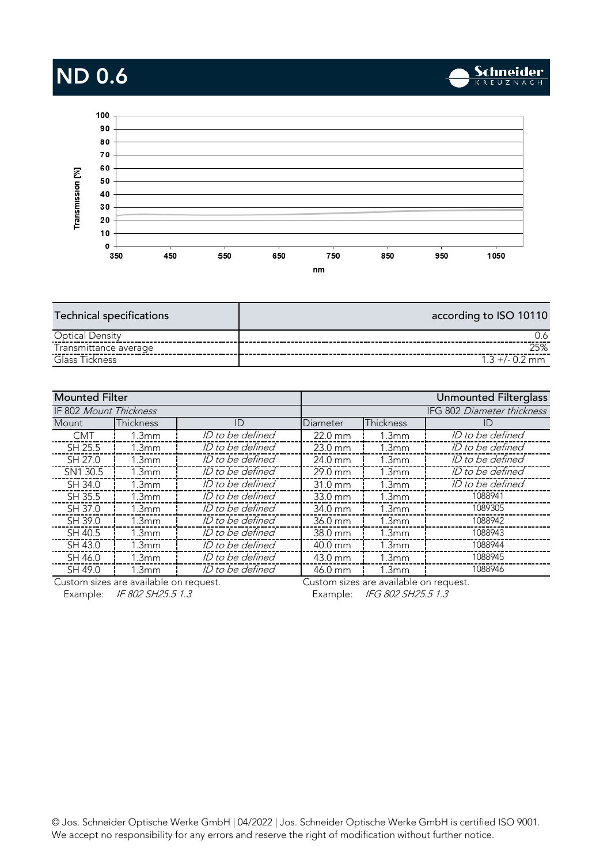# ND 0.6



| <b>Technical specifications</b> | according to ISO 10110 |
|---------------------------------|------------------------|
| <b>Optical Density</b>          |                        |
| Transmittance average           | 25%                    |
| Glass Tickness                  | $1.3 + (-0.2)$ mm      |
|                                 |                        |

| <b>Mounted Filter</b>  |                   |                  |                   |                            | Unmounted Filterglass |  |
|------------------------|-------------------|------------------|-------------------|----------------------------|-----------------------|--|
| IF 802 Mount Thickness |                   |                  |                   | IFG 802 Diameter thickness |                       |  |
| <b>Mount</b>           | Thickness         | ID               | Diameter          | Thickness                  | ID                    |  |
| <b>CMT</b>             | 1.3mm             | ID to be defined | $22.0 \text{ mm}$ | 1.3 <sub>mm</sub>          | ID to be defined      |  |
| SH 25.5                | 1.3mm             | ID to be defined | $23.0$ mm         | 1.3mm                      | ID to be defined      |  |
| SH 27.0                | 1.3 <sub>mm</sub> | ID to be defined | 24.0 mm           | 1.3 <sub>mm</sub>          | ID to be defined      |  |
| SN1 30.5               | 1.3mm             | ID to be defined | 29.0 mm           | 1.3 <sub>mm</sub>          | ID to be defined      |  |
| SH 34.0                | 1.3mm             | ID to be defined | $31.0 \text{ mm}$ | 1.3 <sub>mm</sub>          | ID to be defined      |  |
| SH 35.5                | 1.3mm             | ID to be defined | $33.0 \text{ mm}$ | 1.3mm                      | 1088941               |  |
| SH 37.0                | 1.3 <sub>mm</sub> | ID to be defined | 34.0 mm           | 1.3 <sub>mm</sub>          | 1089305               |  |
| SH 39.0                | 1.3mm             | ID to be defined | 36.0 mm           | 1.3 <sub>mm</sub>          | 1088942               |  |
| SH 40.5                | 1.3mm             | ID to be defined | 38.0 mm           | 1.3 <sub>mm</sub>          | 1088943               |  |
| SH 43.0                | 1.3 <sub>mm</sub> | ID to be defined | 40.0 mm           | 1.3mm                      | 1088944               |  |
| SH 46.0                | 1.3mm             | ID to be defined | 43.0 mm           | 1.3mm                      | 1088945               |  |
| SH 49.0                | 1.3 <sub>mm</sub> | ID to be defined | 46.0 mm           | 1.3 <sub>mm</sub>          | 1088946               |  |
|                        | $\mathbf{1}$      |                  |                   | .                          |                       |  |

Custom sizes are available on request.

Example: IF 802 SH25.5 1.3 Example: IFG 802 SH25.5 1.3 Custom sizes are available on request.

**Schneider** 

 $\mathcal{W}_0$  accort po responsibility for any error and receive the right of modification without further notice. We accept no responsibility for any errors and reserve the right of modification without further notice.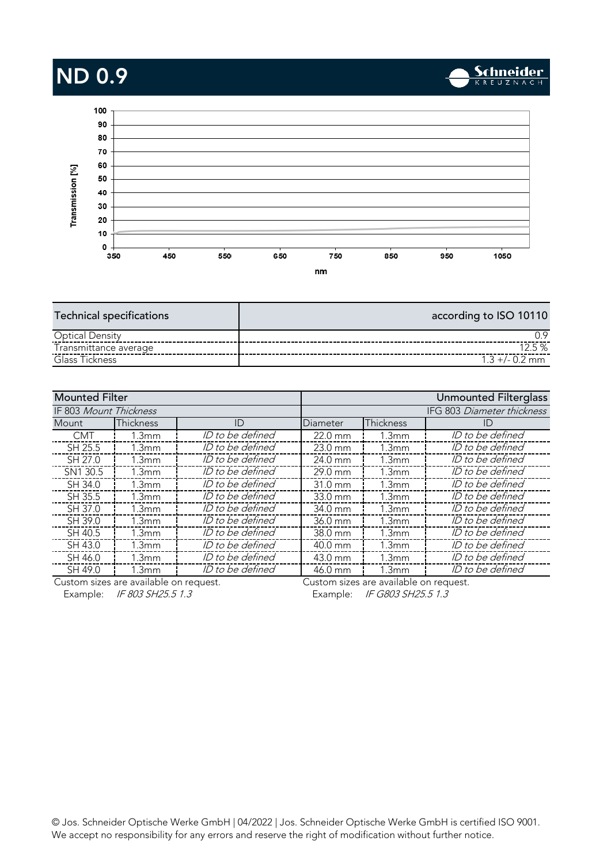# ND 0.9



| <b>Technical specifications</b> | according to ISO 10110 |
|---------------------------------|------------------------|
| <b>Optical Density</b>          |                        |
| Transmittance average           | 12.5%                  |
| Glass Tickness                  | $1.3 + (-0.2)$ mm      |
|                                 |                        |

| <b>Mounted Filter</b>         |                   |                  |                   |                   | Unmounted Filterglass      |
|-------------------------------|-------------------|------------------|-------------------|-------------------|----------------------------|
| <b>IF 803 Mount Thickness</b> |                   |                  |                   |                   | IFG 803 Diameter thickness |
| Mount.                        | Thickness         | ID               | Diameter          | Thickness         | ID                         |
| <b>CMT</b>                    | 1.3mm             | ID to be defined | 22.0 mm           | 1.3mm             | ID to be defined           |
| SH 25.5                       | 1.3mm             | ID to be defined | 23.0 mm           | 1.3mm             | ID to be defined           |
| SH 27.0                       | 1.3 <sub>mm</sub> | ID to be defined | 24.0 mm           | 1.3 <sub>mm</sub> | ID to be defined           |
| SN1 30.5                      | 1.3mm             | ID to be defined | $29.0$ mm         | 1.3mm             | ID to be defined           |
| SH 34.0                       | 1.3mm             | ID to be defined | $31.0 \text{ mm}$ | 1.3mm             | ID to be defined           |
| SH 35.5                       | 1.3mm             | ID to be defined | $33.0 \text{ mm}$ | 1.3mm             | ID to be defined           |
| SH 37.0                       | 1.3 <sub>mm</sub> | ID to be defined | 34.0 mm           | 1.3 <sub>mm</sub> | ID to be defined           |
| SH 39.0                       | 1.3mm             | ID to be defined | 36.0 mm           | 1.3mm             | ID to be defined           |
| SH 40.5                       | 1.3mm             | ID to be defined | 38.0 mm           | 1.3mm             | ID to be defined           |
| SH 43.0                       | 1.3 <sub>mm</sub> | ID to be defined | 40.0 mm           | 1.3mm             | ID to be defined           |
| SH 46.0                       | 1.3mm             | ID to be defined | 43.0 mm           | 1.3mm             | ID to be defined           |
| SH 49.0                       | 1.3 <sub>mm</sub> | ID to be defined | 46.0 mm           | 1.3 <sub>mm</sub> | ID to be defined           |
|                               |                   |                  |                   |                   |                            |

Custom sizes are available on request. Custom sizes are available on request.

Schneider

Example: IF 803 SH25.5 1.3 Example: IF G803 SH25.5 1.3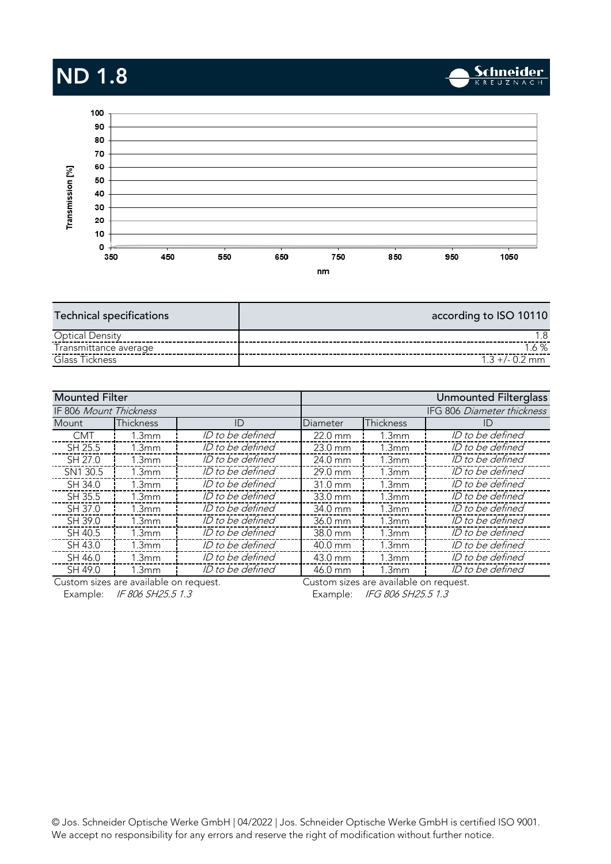# ND 1.8



| <b>Technical specifications</b> | according to ISO 10110 |
|---------------------------------|------------------------|
| <b>Optical Density</b>          | - 8                    |
| Transmittance average           | $.6 \%$                |
| Glass Tickness                  | $1.3 + (-0.2)$ mm      |
|                                 |                        |

| <b>Mounted Filter</b>         |                   |                  |                   |                            | Unmounted Filterglass |  |
|-------------------------------|-------------------|------------------|-------------------|----------------------------|-----------------------|--|
| <b>IF 806 Mount Thickness</b> |                   |                  |                   | IFG 806 Diameter thickness |                       |  |
| Mount.                        | Thickness         | ID               | Diameter          | Thickness                  | ID                    |  |
| <b>CMT</b>                    | 1.3mm             | ID to be defined | 22.0 mm           | 1.3mm                      | ID to be defined      |  |
| SH 25.5                       | 1.3mm             | ID to be defined | $23.0$ mm         | 1.3mm                      | ID to be defined      |  |
| SH 27.0                       | 1.3 <sub>mm</sub> | ID to be defined | 24.0 mm           | 1.3 <sub>mm</sub>          | ID to be defined      |  |
| SN1 30.5                      | 1.3mm             | ID to be defined | $29.0$ mm         | 1.3mm                      | ID to be defined      |  |
| SH 34.0                       | 1.3mm             | ID to be defined | $31.0 \text{ mm}$ | 1.3mm                      | ID to be defined      |  |
| SH 35.5                       | 1.3mm             | ID to be defined | $33.0 \text{ mm}$ | 1.3mm                      | ID to be defined      |  |
| SH 37.0                       | 1.3 <sub>mm</sub> | ID to be defined | 34.0 mm           | 1.3 <sub>mm</sub>          | ID to be defined      |  |
| SH 39.0                       | 1.3 <sub>mm</sub> | ID to be defined | 36.0 mm           | 1.3mm                      | ID to be defined      |  |
| SH 40.5                       | 1.3 <sub>mm</sub> | ID to be defined | 38.0 mm           | 1.3mm                      | ID to be defined      |  |
| SH 43.0                       | 1.3 <sub>mm</sub> | ID to be defined | 40.0 mm           | 1.3mm                      | ID to be defined      |  |
| SH 46.0                       | 1.3mm             | ID to be defined | 43.0 mm           | 1.3mm                      | ID to be defined      |  |
| SH 49.0                       | 1.3 <sub>mm</sub> | ID to be defined | 46.0 mm           | 1.3 <sub>mm</sub>          | ID to be defined      |  |
|                               |                   |                  |                   |                            |                       |  |

Custom sizes are available on request. Custom sizes are available on request.

Example: IF 806 SH25.5 1.3 Example: IFG 806 SH25.5 1.3

 $\mathcal{W}_0$  accort po responsibility for any error and receive the right of modification without further notice. We accept no responsibility for any errors and reserve the right of modification without further notice.

Schneider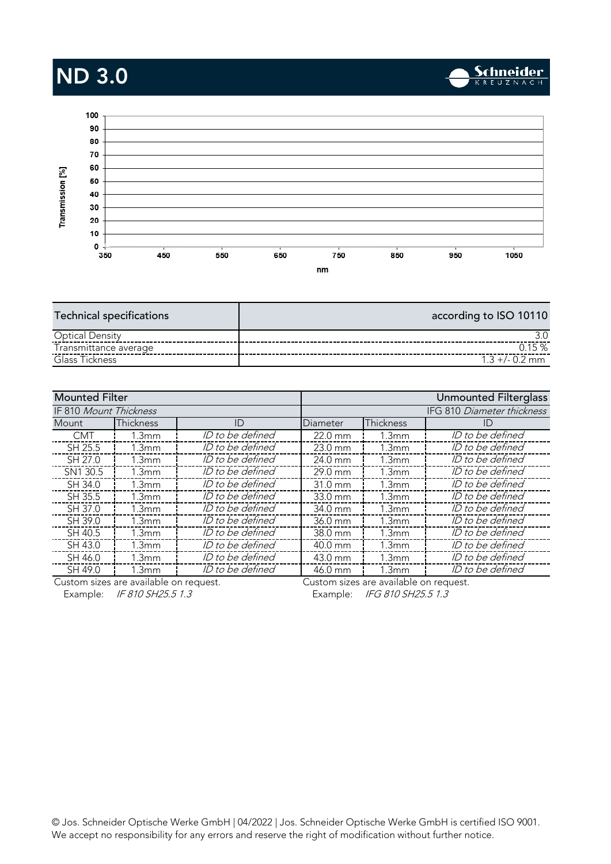## ND 3.0



| <b>Technical specifications</b> | according to ISO 10110 |
|---------------------------------|------------------------|
| <b>Optical Density</b>          |                        |
| Transmittance average           | 0.15%                  |
| Glass Tickness                  | $1.3 + (-0.2)$ mm      |
|                                 |                        |

| <b>Mounted Filter</b>  |                   |                         |                   |                            | Unmounted Filterglass |  |
|------------------------|-------------------|-------------------------|-------------------|----------------------------|-----------------------|--|
| IF 810 Mount Thickness |                   |                         |                   | IFG 810 Diameter thickness |                       |  |
| Mount                  | Thickness         | ID                      | Diameter          | <b>Thickness</b>           | ID                    |  |
| <b>CMT</b>             | 1.3mm             | ID to be defined        | 22.0 mm           | 1.3mm                      | ID to be defined      |  |
| SH 25.5                | 1.3mm             | ID to be defined        | $23.0$ mm         | 1.3mm                      | ID to be defined      |  |
| SH 27.0                | 1.3 <sub>mm</sub> | ID to be defined        | 24.0 mm           | 1.3 <sub>mm</sub>          | ID to be defined      |  |
| SN1 30.5               | 1.3mm             | ID to be defined        | 29.0 mm           | 1.3mm                      | ID to be defined      |  |
| SH 34.0                | 1.3mm             | <i>ID to be defined</i> | $31.0 \text{ mm}$ | 1.3mm                      | ID to be defined      |  |
| SH 35.5                | 1.3mm             | ID to be defined        | $33.0 \text{ mm}$ | 1.3mm                      | ID to be defined      |  |
| SH 37.0                | 1.3 <sub>mm</sub> | ID to be defined        | 34.0 mm           | 1.3 <sub>mm</sub>          | ID to be defined      |  |
| SH 39.0                | 1.3 <sub>mm</sub> | ID to be defined        | 36.0 mm           | 1.3mm                      | ID to be defined      |  |
| SH 40.5                | 1.3mm             | ID to be defined        | 38.0 mm           | 1.3mm                      | ID to be defined      |  |
| SH 43.0                | 1.3 <sub>mm</sub> | <i>ID to be defined</i> | 40.0 mm           | 1.3 <sub>mm</sub>          | ID to be defined      |  |
| SH 46.0                | 1.3mm             | ID to be defined        | 43.0 mm           | 1.3mm                      | ID to be defined      |  |
| SH 49.0                | 1.3 <sub>mm</sub> | ID to be defined        | 46.0 mm           | l.3mm                      | ID to be defined      |  |
|                        | $\mathbf{r}$      |                         |                   |                            |                       |  |

Custom sizes are available on request. Custom sizes are available on request. Example: IF 810 SH25.5 1.3 Example: IFG 810 SH25.5 1.3

**Schneider** 

 $\mathcal{W}_0$  accort po responsibility for any error and receive the right of modification without further notice. We accept no responsibility for any errors and reserve the right of modification without further notice.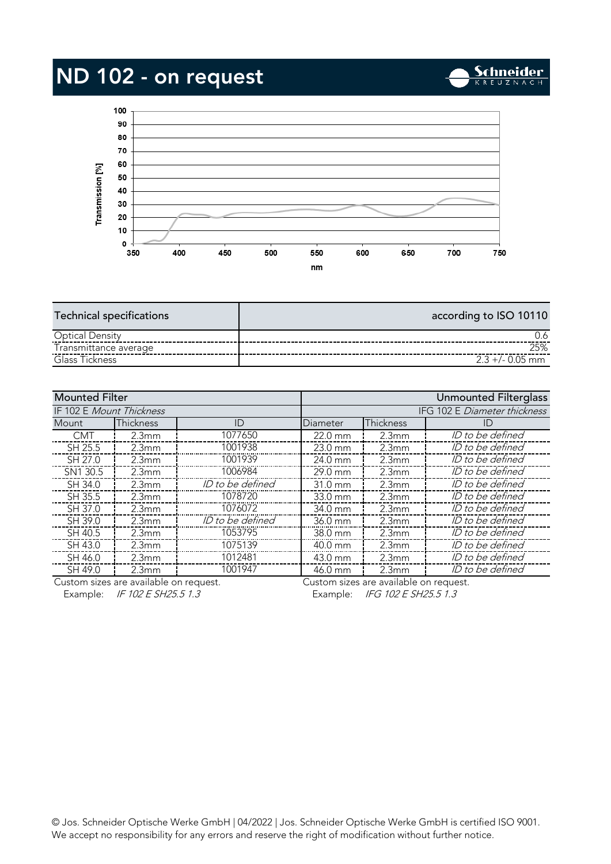# ND 102 - on request



**Schneider** 

| <b>Technical specifications</b> | according to ISO 10110 |
|---------------------------------|------------------------|
| <b>Optical Density</b>          |                        |
| Transmittance average           | 25%                    |
| Glass Tickness                  | $2.3 + 4.0.05$ mm      |
|                                 |                        |

| IFG 102 E Diameter thickness<br>IF 102 E Mount Thickness<br>Thickness<br>Thickness<br>ID<br>Mount<br>Diameter<br>ID.<br>ID to be defined<br>1077650<br>22.0 mm<br><b>CMT</b><br>2.3mm<br>2.3mm<br>1001938<br>ID to be defined<br>SH 25.5<br>2.3mm<br>23.0 mm<br>2.3mm<br>SH 27.0<br>ID to be defined<br>1001939<br>24.0 mm<br>2.3mm<br>2.3mm<br>SN1 30.5<br>1006984<br>ID to be defined<br>29.0 mm<br>2.3mm<br>2.3 <sub>mm</sub><br>ID to be defined<br>ID to be defined<br>SH 34.0<br>$31.0 \text{ mm}$<br>2.3mm<br>2.3mm<br>ID to be defined<br>1078720<br>SH 35.5<br>2.3mm<br>33.0 mm<br>2.3 <sub>mm</sub><br>1076072<br>ID to be defined<br>SH 37.0<br>2.3mm<br>2.3mm<br>34.0 mm<br>ID to be defined<br>ID to be defined<br>SH 39.0<br>36.0 mm<br>2.3mm<br>2.3mm<br>1053795<br>ID to be defined<br>SH 40.5<br>38.0 mm<br>2.3mm<br>2.3 <sub>mm</sub><br>1075139<br>ID to be defined<br>SH 43.0<br>2.3mm<br>2.3mm<br>40.0 mm<br>1012481<br>ID to be defined<br>SH 46.0<br>2.3mm<br>43.0 mm<br>2.3mm<br>1001947<br>ID to be defined<br>SH 49.0<br>46.0 mm<br>2.3mm<br>2.3mm | <b>Mounted Filter</b> |  |  |  | <b>Unmounted Filterglass</b> |
|------------------------------------------------------------------------------------------------------------------------------------------------------------------------------------------------------------------------------------------------------------------------------------------------------------------------------------------------------------------------------------------------------------------------------------------------------------------------------------------------------------------------------------------------------------------------------------------------------------------------------------------------------------------------------------------------------------------------------------------------------------------------------------------------------------------------------------------------------------------------------------------------------------------------------------------------------------------------------------------------------------------------------------------------------------------------------|-----------------------|--|--|--|------------------------------|
|                                                                                                                                                                                                                                                                                                                                                                                                                                                                                                                                                                                                                                                                                                                                                                                                                                                                                                                                                                                                                                                                              |                       |  |  |  |                              |
|                                                                                                                                                                                                                                                                                                                                                                                                                                                                                                                                                                                                                                                                                                                                                                                                                                                                                                                                                                                                                                                                              |                       |  |  |  |                              |
|                                                                                                                                                                                                                                                                                                                                                                                                                                                                                                                                                                                                                                                                                                                                                                                                                                                                                                                                                                                                                                                                              |                       |  |  |  |                              |
|                                                                                                                                                                                                                                                                                                                                                                                                                                                                                                                                                                                                                                                                                                                                                                                                                                                                                                                                                                                                                                                                              |                       |  |  |  |                              |
|                                                                                                                                                                                                                                                                                                                                                                                                                                                                                                                                                                                                                                                                                                                                                                                                                                                                                                                                                                                                                                                                              |                       |  |  |  |                              |
|                                                                                                                                                                                                                                                                                                                                                                                                                                                                                                                                                                                                                                                                                                                                                                                                                                                                                                                                                                                                                                                                              |                       |  |  |  |                              |
|                                                                                                                                                                                                                                                                                                                                                                                                                                                                                                                                                                                                                                                                                                                                                                                                                                                                                                                                                                                                                                                                              |                       |  |  |  |                              |
|                                                                                                                                                                                                                                                                                                                                                                                                                                                                                                                                                                                                                                                                                                                                                                                                                                                                                                                                                                                                                                                                              |                       |  |  |  |                              |
|                                                                                                                                                                                                                                                                                                                                                                                                                                                                                                                                                                                                                                                                                                                                                                                                                                                                                                                                                                                                                                                                              |                       |  |  |  |                              |
|                                                                                                                                                                                                                                                                                                                                                                                                                                                                                                                                                                                                                                                                                                                                                                                                                                                                                                                                                                                                                                                                              |                       |  |  |  |                              |
|                                                                                                                                                                                                                                                                                                                                                                                                                                                                                                                                                                                                                                                                                                                                                                                                                                                                                                                                                                                                                                                                              |                       |  |  |  |                              |
|                                                                                                                                                                                                                                                                                                                                                                                                                                                                                                                                                                                                                                                                                                                                                                                                                                                                                                                                                                                                                                                                              |                       |  |  |  |                              |
|                                                                                                                                                                                                                                                                                                                                                                                                                                                                                                                                                                                                                                                                                                                                                                                                                                                                                                                                                                                                                                                                              |                       |  |  |  |                              |
|                                                                                                                                                                                                                                                                                                                                                                                                                                                                                                                                                                                                                                                                                                                                                                                                                                                                                                                                                                                                                                                                              |                       |  |  |  |                              |

Custom sizes are available on request. Example: IF 102 E SH25.5 1.3 Example: IFG 102 E SH25.5 1.3

Custom sizes are available on request.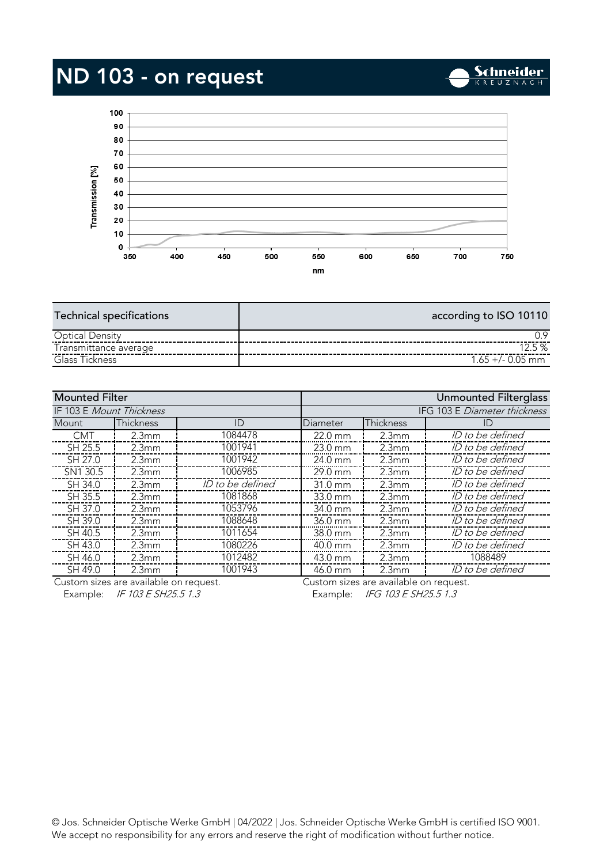# ND 103 - on request



**Schneider** 

| <b>Technical specifications</b> | according to ISO 10110 |
|---------------------------------|------------------------|
| <b>Optical Density</b>          |                        |
| Transmittance average           | 12.5%                  |
| Glass Tickness                  | $1.65 + (-0.05)$ mm    |
|                                 |                        |

| <b>Mounted Filter</b>    |                   | Unmounted Filterglass        |                   |                                         |                  |
|--------------------------|-------------------|------------------------------|-------------------|-----------------------------------------|------------------|
| IF 103 E Mount Thickness |                   | IFG 103 E Diameter thickness |                   |                                         |                  |
| Mount                    | <b>Thickness</b>  | ID                           | Diameter          | Thickness                               | ID               |
| <b>CMT</b>               | 2.3mm             | 1084478                      | $22.0$ mm         | 2.3mm                                   | ID to be defined |
| SH 25.5                  | 2.3mm             | 1001941                      | 23.0 mm           | 2.3mm                                   | ID to be defined |
| SH 27.0                  | 2.3 <sub>mm</sub> | 1001942                      | $24.0 \text{ mm}$ | 2.3mm                                   | ID to be defined |
| SN1 30.5                 | 2.3mm             | 1006985                      | 29.0 mm           | 2.3mm                                   | ID to be defined |
| SH 34.0                  | 2.3mm             | ID to be defined             | 31.0 mm           | 2.3mm                                   | ID to be defined |
| SH 35.5                  | 2.3mm             | 1081868                      | 33.0 mm           | 2.3mm                                   | ID to be defined |
| SH 37.0                  | 2.3mm             | 1053796                      | 34.0 mm           | 2.3mm                                   | ID to be defined |
| SH 39.0                  | 2.3mm             | 1088648                      | $36.0 \text{ mm}$ | 2.3mm                                   | ID to be defined |
| SH 40.5                  | 2.3mm             | 1011654                      | 38.0 mm           | 2.3mm                                   | ID to be defined |
| SH 43.0                  | 2.3mm             | 1080226                      | 40.0 mm           | 2.3mm                                   | ID to be defined |
| SH 46.0                  | 2.3mm             | 1012482                      | 43.0 mm           | 2.3mm                                   | 1088489          |
| SH 49.0                  | 2.3mm             | 1001943                      | 46.0 mm           | 2.3mm                                   | ID to be defined |
|                          | $-1$ $-1$ $-1$    |                              |                   | $\cdot$ $\cdot$ $\cdot$ $\cdot$ $\cdot$ |                  |

Custom sizes are available on request. Example: IF 103 E SH25.5 1.3 Example: IFG 103 E SH25.5 1.3

Custom sizes are available on request.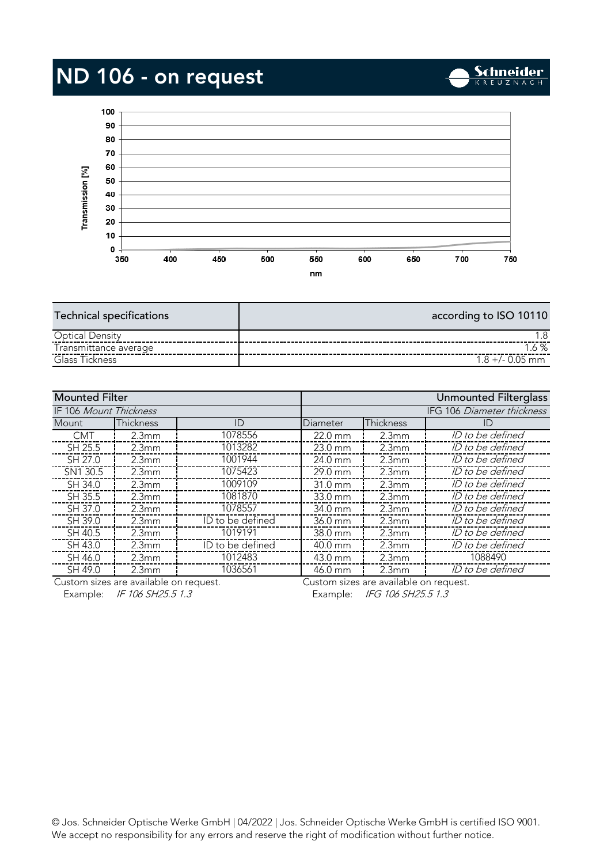# ND 106 - on request



| <b>Technical specifications</b> | according to ISO 10110 |
|---------------------------------|------------------------|
| <b>Optical Density</b>          |                        |
| Transmittance average           | .6%                    |
| Glass Tickness                  | $1.8 + (-0.05)$ mm     |
|                                 |                        |

| <b>Mounted Filter</b>  |                   |                  | Unmounted Filterglass      |                |                  |
|------------------------|-------------------|------------------|----------------------------|----------------|------------------|
| IF 106 Mount Thickness |                   |                  | IFG 106 Diameter thickness |                |                  |
| Mount                  | <b>Thickness</b>  | ID               | Diameter                   | Thickness      | ID)              |
| <b>CMT</b>             | 2.3mm             | 1078556          | 22.0 mm                    | 2.3mm          | ID to be defined |
| SH 25.5                | 2.3mm             | 1013282          | $23.0 \text{ mm}$          | 2.3mm          | ID to be defined |
| SH 27.0                | 2.3 <sub>mm</sub> | 1001944          | 24.0 mm                    | 2.3mm          | ID to be defined |
| SN1 30.5               | 2.3 <sub>mm</sub> | 1075423          | 29.0 mm                    | 2.3mm          | ID to be defined |
| SH 34.0                | 2.3mm             | 1009109          | $31.0 \text{ mm}$          | 2.3mm          | ID to be defined |
| SH 35.5                | 2.3mm             | 1081870          | 33.0 mm                    | 2.3mm          | ID to be defined |
| SH 37.0                | 2.3 <sub>mm</sub> | 1078557          | 34.0 mm                    | 2.3mm          | ID to be defined |
| SH 39.0                | 2.3mm             | ID to be defined | 36.0 mm                    | 2.3mm          | ID to be defined |
| SH 40.5                | 2.3 <sub>mm</sub> | 1019191          | 38.0 mm                    | 2.3mm          | ID to be defined |
| SH 43.0                | 2.3mm             | ID to be defined | 40.0 mm                    | 2.3mm          | ID to be defined |
| SH 46.0                | 2.3mm             | 1012483          | 43.0 mm                    | 2.3mm          | 1088490          |
| SH 49.0                | 2.3 <sub>mm</sub> | 1036561          | 46.0 mm                    | 2.3mm          | ID to be defined |
|                        | $+1$ $+$ $+$      |                  |                            | $-1$ $-1$ $-1$ |                  |

Custom sizes are available on request. Example: IF 106 SH25.5 1.3 Example: IFG 106 SH25.5 1.3

Custom sizes are available on request.

**Schneider**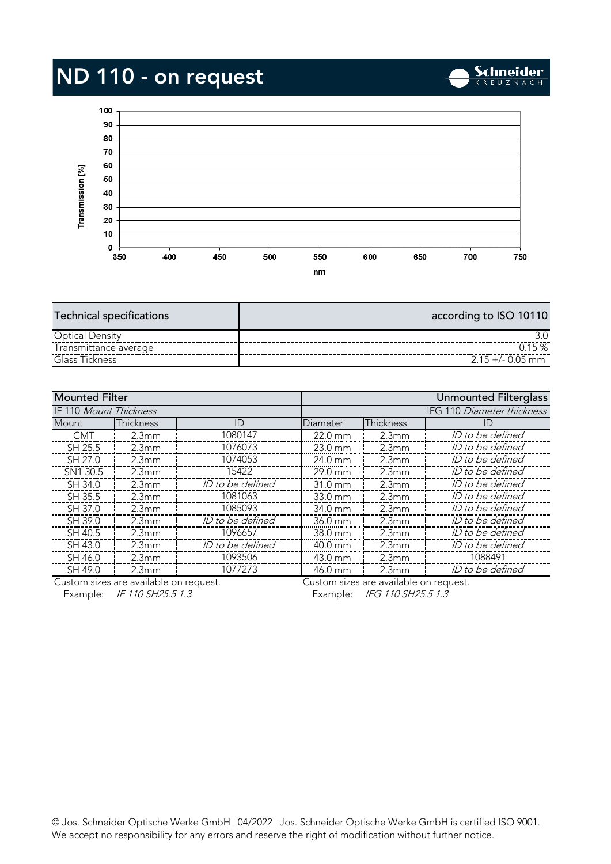# ND 110 - on request



**Schneider** 

| <b>Technical specifications</b> | according to ISO 10110 |
|---------------------------------|------------------------|
| <b>Optical Density</b>          |                        |
| Transmittance average           | 15%                    |
| Glass Tickness                  | $2.15 + (-0.05)$ mm    |
|                                 |                        |

| <b>Mounted Filter</b>         |                   |                            | Unmounted Filterglass |                                         |                  |
|-------------------------------|-------------------|----------------------------|-----------------------|-----------------------------------------|------------------|
| <b>IF 110 Mount Thickness</b> |                   | IFG 110 Diameter thickness |                       |                                         |                  |
| <b>Mount</b>                  | <b>Thickness</b>  | ID                         | Diameter              | Thickness                               | ID               |
| <b>CMT</b>                    | 2.3mm             | 1080147                    | $22.0 \text{ mm}$     | 2.3mm                                   | ID to be defined |
| SH 25.5                       | 2.3mm             | 1076073                    | $23.0$ mm             | 2.3mm                                   | ID to be defined |
| SH 27.0                       | 2.3mm             | 1074053                    | $24.0 \text{ mm}$     | 2.3mm                                   | ID to be defined |
| SN1 30.5                      | 2.3mm             | 15422                      | $29.0 \text{ mm}$     | 2.3mm                                   | ID to be defined |
| SH 34.0                       | 2.3mm             | ID to be defined           | 31.0 mm               | 2.3mm                                   | ID to be defined |
| SH 35.5                       | 2.3mm             | 1081063                    | 33.0 mm               | 2.3mm                                   | ID to be defined |
| SH 37.0                       | 2.3mm             | 1085093                    | 34.0 mm               | 2.3 <sub>mm</sub>                       | ID to be defined |
| SH 39.0                       | 2.3mm             | ID to be defined           | 36.0 mm               | 2.3mm                                   | ID to be defined |
| SH 40.5                       | 2.3mm             | 1096657                    | $38.0 \text{ mm}$     | 2.3mm                                   | ID to be defined |
| SH 43.0                       | 2.3mm             | ID to be defined           | 40.0 mm               | 2.3mm                                   | ID to be defined |
| SH 46.0                       | 2.3 <sub>mm</sub> | 1093506                    | 43.0 mm               | 2.3mm                                   | 1088491          |
| SH 49.0                       | 2.3mm             | 1077273                    | 46.0 mm               | 2.3mm                                   | ID to be defined |
|                               | $+1$ $+1$ $+1$    |                            |                       | $\cdot$ $\cdot$ $\cdot$ $\cdot$ $\cdot$ |                  |

Custom sizes are available on request. Example: IF 110 SH25.5 1.3 Example: IFG 110 SH25.5 1.3

Custom sizes are available on request.

 $\mathcal{W}_0$  accort po responsibility for any error and receive the right of modification without further notice. We accept no responsibility for any errors and reserve the right of modification without further notice.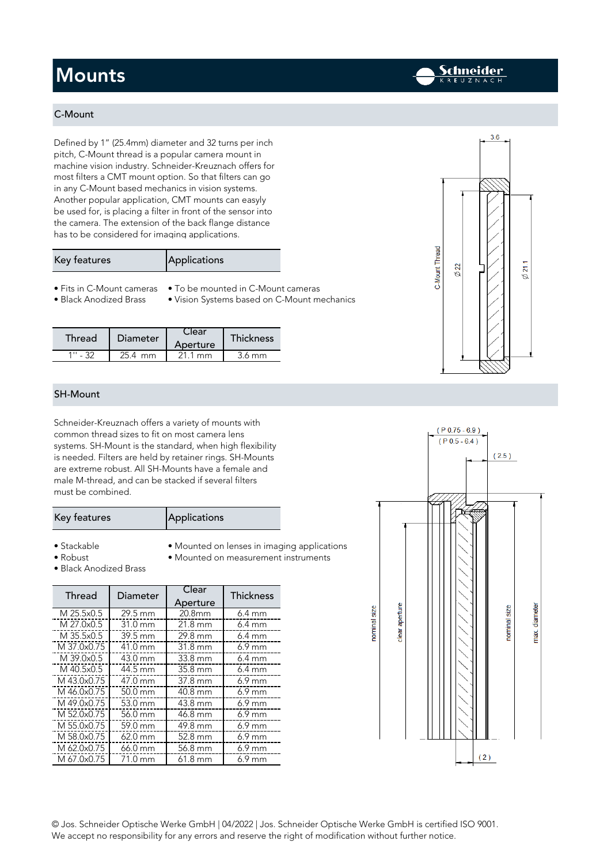### **Mounts**

#### C-Mount

Defined by 1" (25.4mm) diameter and 32 turns per inch<br>pitch, C-Mount thread is a popular camera mount in machine vision industry. Schneider-Kreuznach offers for most filters a CMT mount option. So that filters can go in any C-Mount based mechanics in vision systems. Another popular application, CMT mounts can easyly be used for, is placing a filter in front of the sensor into the camera. The extension of the back flange distance has to be considered for imaging applications. has to be considered for imaging applications.

| Key features | Applications |
|--------------|--------------|
|              |              |

- Fits in C-Mount cameras To be mounted in C-Mount cameras
- 
- 
- Black Anodized Brass Vision Systems based on C-Mount mechanics
- 
- Black Anodized Brass Vision Systems based on C-Mount mechanics

| Thread | <b>Diameter</b> | Aperture | <b>Thickness</b> |
|--------|-----------------|----------|------------------|
|        | mm              |          | .6 mm            |
|        |                 |          |                  |

#### SH-Mount

Schneider-Kreuznach offers a variety of mounts with systems. SH-Mount is the standard, when high flexibility is needed. Filters are held by retainer rings. SH-Mounts are extreme robust. All SH-Mounts have a female and male M-thread, and can be stacked if several filters  $m$ ust be sembined

| Key features | Applications |
|--------------|--------------|
|              |              |

- · Stackable
- 
- 
- 
- 
- Black Anodized Brass
- Stackable • Mounted on lenses in imaging applications<br>• Robust Mounted on measurement instruments

| Thread      | Diameter          | Clear<br>Aperture | <b>Thickness</b> |
|-------------|-------------------|-------------------|------------------|
| M 25.5x0.5  | 29.5 mm           | 20.8mm            | $6.4 \text{ mm}$ |
| M 27.0x0.5  | 31.0 mm           | $21.8 \text{ mm}$ | $6.4 \text{ mm}$ |
| M 35.5x0.5  | 39.5 mm           | 29.8 mm           | $6.4 \text{ mm}$ |
| M 37.0x0.75 | $41.0 \text{ mm}$ | $31.8 \text{ mm}$ | $6.9$ mm         |
| M 39.0x0.5  | 43.0 mm           | 33.8 mm           | $6.4 \text{ mm}$ |
| M 40.5x0.5  | 44.5 mm           | $35.8 \text{ mm}$ | $6.4 \text{ mm}$ |
| M 43.0x0.75 | 47.0 mm           | 37.8 mm           | $6.9 \text{ mm}$ |
| M 46.0x0.75 | $50.0 \text{ mm}$ | 40.8 mm           | $6.9$ mm         |
| M 49.0x0.75 | 53.0 mm           | $43.8 \text{ mm}$ | $6.9$ mm         |
| M 52.0x0.75 | 56.0 mm           | 46.8 mm           | $6.9$ mm         |
| M 55.0x0.75 | 59.0 mm           | 49.8 mm           | $6.9$ mm         |
| M 58.0x0.75 | 62.0 mm           | 52.8 mm           | $6.9$ mm         |
| M 62.0x0.75 | 66.0 mm           | 56.8 mm           | $6.9$ mm         |
| M 67.0x0.75 | 71.0 mm           | $61.8 \text{ mm}$ | $6.9 \text{ mm}$ |
|             |                   |                   |                  |



 $\frac{1}{2}$  Jos. Schneider Optische GmbH  $\frac{1}{2}$  and  $\frac{1}{2}$  and  $\frac{1}{2}$  and  $\frac{1}{2}$  and  $\frac{1}{2}$  and  $\frac{1}{2}$  and  $\frac{1}{2}$  and  $\frac{1}{2}$  and  $\frac{1}{2}$  and  $\frac{1}{2}$  and  $\frac{1}{2}$  and  $\frac{1}{2}$  and  $\frac{1}{2}$  and We accept no responsibility for any errors and reserve the right of modification without further notice.



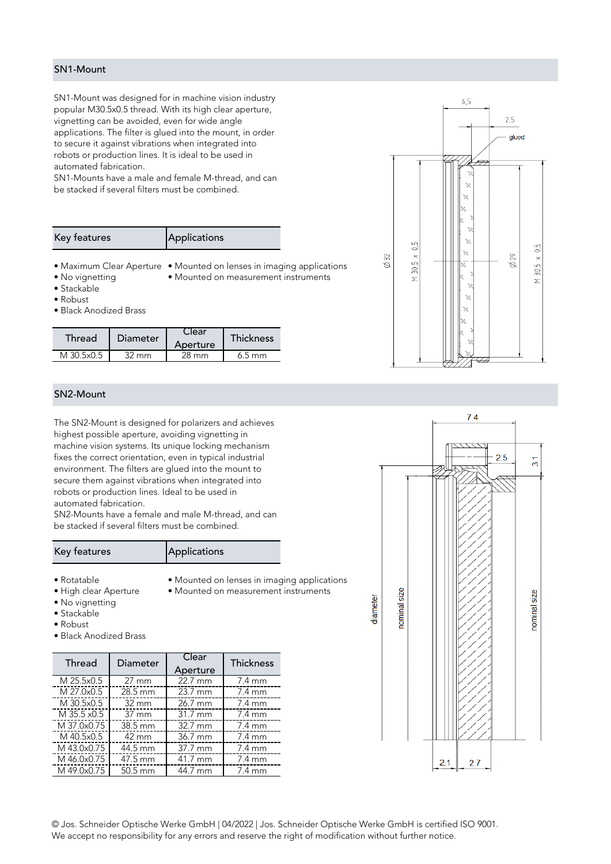#### SN1-Mount

SN1-Mount was designed for in machine vision industry<br>popular M30.5x0.5 thread. With its high clear aperture, vignetting can be avoided, even for wide angle applications. The filter is glued into the mount, in order to secure it against vibrations when integrated into robots or production lines. It is ideal to be used in automated fabrication.

SN1-Mounts have a male and female M-thread, and can be stacked if several filters must be combined.

| Applications<br>Key features |  |
|------------------------------|--|
|------------------------------|--|

• Maximum Clear Aperture • Mounted on lenses in imaging applications<br>• No vignetting • Mounted on measurement instruments

- 
- $\bullet$  Stackable
- $\bullet$  Robust
- · Black Anodized Brass

| Thread     | <b>Diameter</b> | .lear<br>Aperture | <b>Thickness</b> |
|------------|-----------------|-------------------|------------------|
| M 30 5x0 5 | mm              | 28 mm             | 6.5 mm           |
|            |                 |                   |                  |

#### SN2-Mount

The SN2-Mount is designed for polarizers and achieves machine vision systems. Its unique locking mechanism fixes the correct orientation, even in typical industrial environment. The filters are glued into the mount to secure them against vibrations when integrated into robots or production lines. Ideal to be used in automated fabrication.

SN2-Mounts have a female and male M-thread, and can be stacked if several filters must be combined.

#### Key features **Applications**

- 
- Rotatable Mounted on lenses in imaging applications<br>• High clear Aperture Mounted on measurement instruments
- 
- No vignetting
- $\bullet$  Stackable
- $\bullet$  Robust
- · Black Anodized Brass

| Thread      | Diameter          | Clear<br>Aperture | <b>Thickness</b> |
|-------------|-------------------|-------------------|------------------|
| M 25.5x0.5  | $27 \text{ mm}$   | $22.7 \text{ mm}$ | $7.4 \text{ mm}$ |
| M 27.0x0.5  | 28.5 mm           | 23.7 mm           | 7.4 mm           |
| M 30.5x0.5  | $32 \, \text{mm}$ | 26.7 mm           | 7.4 mm           |
| M 35.5 x0.5 | $37 \text{ mm}$   | $31.7 \text{ mm}$ | 7.4 mm           |
| M 37.0x0.75 | 38.5 mm           | $32.7 \text{ mm}$ | 7.4 mm           |
| M 40.5x0.5  | 42 mm             | 36.7 mm           | $7.4 \text{ mm}$ |
| M 43.0x0.75 | 44.5 mm           | 37.7 mm           | $7.4 \text{ mm}$ |
| M 46.0x0.75 | 47.5 mm           | 41.7 mm           | $7.4 \text{ mm}$ |
| M 49.0x0.75 | $50.5 \text{ mm}$ | 44.7 mm           | $7.4 \text{ mm}$ |
|             |                   |                   |                  |

 $6.5$  $25$ alued  $\overline{0}$ 0,5 Z,  $30.5 \times$  $\varnothing$ 32  $\varnothing$ 29  $\overline{\mathbf{X}}$  $30,5.$  $\overline{z}$  $\overline{z}$ 



 $\frac{1}{2}$  Jos. Schneider Optische GmbH  $\frac{1}{2}$  and  $\frac{1}{2}$  and  $\frac{1}{2}$  and  $\frac{1}{2}$  and  $\frac{1}{2}$  and  $\frac{1}{2}$  and  $\frac{1}{2}$  and  $\frac{1}{2}$  and  $\frac{1}{2}$  and  $\frac{1}{2}$  and  $\frac{1}{2}$  and  $\frac{1}{2}$  and  $\frac{1}{2}$  and We accept no responsibility for any errors and reserve the right of modification without further notice.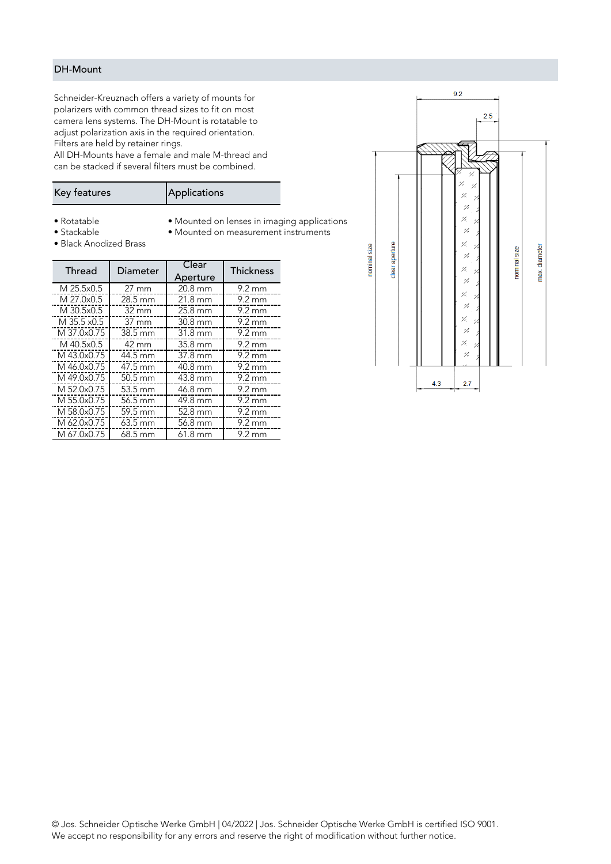#### DH-Mount

Schneider-Kreuznach offers a variety of mounts for camera lens systems. The DH-Mount is rotatable to adjust polarization axis in the required orientation. Filters are held by retainer rings.

All DH-Mounts have a female and male M-thread and can be stacked if several filters must be combined.

| Key features | Applications |
|--------------|--------------|
|              |              |

M 37.0x0.75 38.5 mm 31.8 mm 9.2 mm M 40.5x0.5 42 mm 35.8 mm 9.2 mm <u>M 46.0x0.75 **1** 147.5 mm 37.8 mm 37.8 mm 37.9 mm</u> M 49.0x0.75 **1 - 50.5 mm 1 - 43.8 mm 1 - 9.2 mm** M 49.0x0.75 50.5 mm 43.8 mm 9.2 mm M 55.0x0.75 | 56.5 mm | 49.8 mm | 9.2 mm M 58.0x0.75 **F** 59.5 mm **1** 52.8 mm 9.2 mm M 62.0x0.75 | 23.5 mm | 36.8 mm | 36.9 mm | 3.2 mm M 62.0x0.75 63.5 mm 56.8 mm 9.2 mm M 67.0x0.75 mm 61.8 mm 61.8 mm 9.2 mm 9.2 mm 61.8 mm 9.2 mm 9.2 mm 9.2 mm 9.2 mm 9.2 mm 9.2 mm 9.2 mm 9.2 mm 9

 $\bullet$  Rotatable

• Rotatable • Mounted on lenses in imaging applications<br>• Stackable • Mounted on measurement instruments

- Black Anodized Brass
- 

Thickness

|  | Thread      | Diameter          | Clear<br>Aperture | Thicknes         |
|--|-------------|-------------------|-------------------|------------------|
|  | M 25.5x0.5  | $27 \text{ mm}$   | 20.8 mm           | $9.2 \text{ mm}$ |
|  | M 27.0x0.5  | 28.5 mm           | 21.8 mm           | $9.2 \text{ mm}$ |
|  | M 30.5x0.5  | $32 \, \text{mm}$ | 25.8 mm           | $9.2 \text{ mm}$ |
|  | M 35.5 x0.5 | $37 \text{ mm}$   | 30.8 mm           | $9.2 \text{ mm}$ |
|  | M 37.0x0.75 | 38.5 mm           | 31.8 mm           | $9.2 \text{ mm}$ |
|  |             |                   |                   |                  |